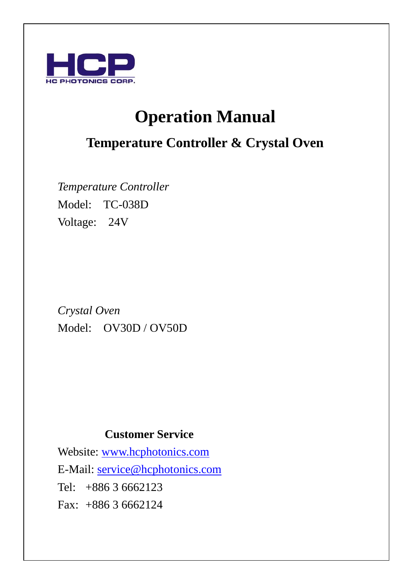

# **Operation Manual**

## **Temperature Controller & Crystal Oven**

*Temperature Controller*  Model: TC-038D Voltage: 24V

*Crystal Oven* Model: OV30D / OV50D

## **Customer Service**

Website: [www.hcphotonics.com](http://www.hcphotonics.com/) E-Mail: [service@hcphotonics.com](mailto:service@hcphotonics.com) Tel: +886 3 6662123 Fax: +886 3 6662124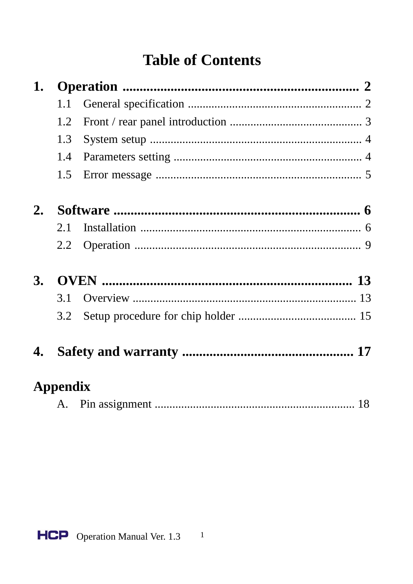# **Table of Contents**

| 1. |                 |                         |           |
|----|-----------------|-------------------------|-----------|
|    | 1.1             |                         |           |
|    | 1.2             |                         |           |
|    | 1.3             |                         |           |
|    | 1.4             |                         |           |
|    | 1.5             |                         |           |
| 2. |                 |                         |           |
|    | 2.1             |                         |           |
|    | 2.2             |                         |           |
| 3. |                 |                         |           |
|    | 3.1             |                         |           |
|    | 3.2             |                         |           |
|    |                 |                         |           |
|    | <b>Appendix</b> |                         |           |
|    |                 | $\Lambda$ Din equipment | <b>10</b> |

|--|--|--|--|--|

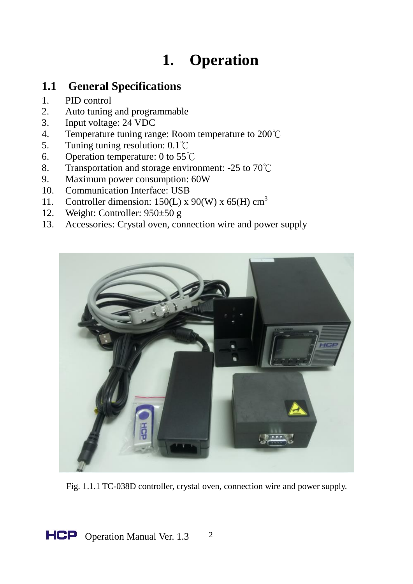# **1. Operation**

### **1.1 General Specifications**

- 1. PID control
- 2. Auto tuning and programmable
- 3. Input voltage: 24 VDC
- 4. Temperature tuning range: Room temperature to  $200^{\circ}$ C<br>5. Tuning tuning resolution:  $0.1^{\circ}$ C
- 5. Tuning tuning resolution: 0.1℃
- 6. Operation temperature: 0 to 55℃
- 8. Transportation and storage environment: -25 to 70℃
- 9. Maximum power consumption: 60W<br>10. Communication Interface: USB
- Communication Interface: USB
- 11. Controller dimension:  $150(L)$  x  $90(W)$  x  $65(H)$  cm<sup>3</sup><br>12. Weight: Controller:  $950+50$  g
- Weight: Controller:  $950±50$  g
- 13. Accessories: Crystal oven, connection wire and power supply



Fig. 1.1.1 TC-038D controller, crystal oven, connection wire and power supply.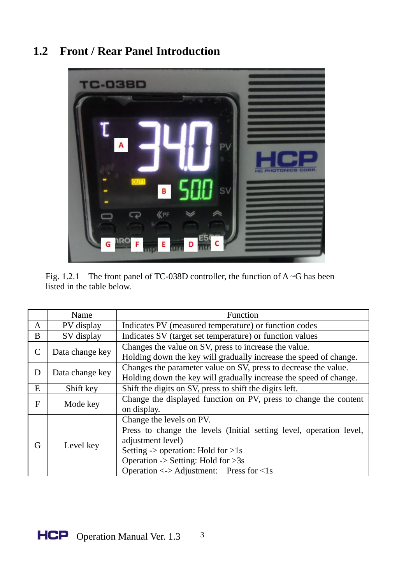## **1.2 Front / Rear Panel Introduction**



| Fig. 1.2.1 The front panel of TC-038D controller, the function of $A \sim G$ has been |
|---------------------------------------------------------------------------------------|
| listed in the table below.                                                            |

|   | Name            | Function                                                                                                                                                                                                                                                                                 |  |
|---|-----------------|------------------------------------------------------------------------------------------------------------------------------------------------------------------------------------------------------------------------------------------------------------------------------------------|--|
| A | PV display      | Indicates PV (measured temperature) or function codes                                                                                                                                                                                                                                    |  |
| B | SV display      | Indicates SV (target set temperature) or function values                                                                                                                                                                                                                                 |  |
| C | Data change key | Changes the value on SV, press to increase the value.<br>Holding down the key will gradually increase the speed of change.                                                                                                                                                               |  |
| D | Data change key | Changes the parameter value on SV, press to decrease the value.<br>Holding down the key will gradually increase the speed of change.                                                                                                                                                     |  |
| E | Shift key       | Shift the digits on SV, press to shift the digits left.                                                                                                                                                                                                                                  |  |
| F | Mode key        | Change the displayed function on PV, press to change the content<br>on display.                                                                                                                                                                                                          |  |
| G | Level key       | Change the levels on PV.<br>Press to change the levels (Initial setting level, operation level,<br>adjustment level)<br>Setting $\rightarrow$ operation: Hold for $>1s$<br>Operation -> Setting: Hold for $>3s$<br>Operation $\langle \rangle$ Adjustment: Press for $\langle \cdot  $ S |  |

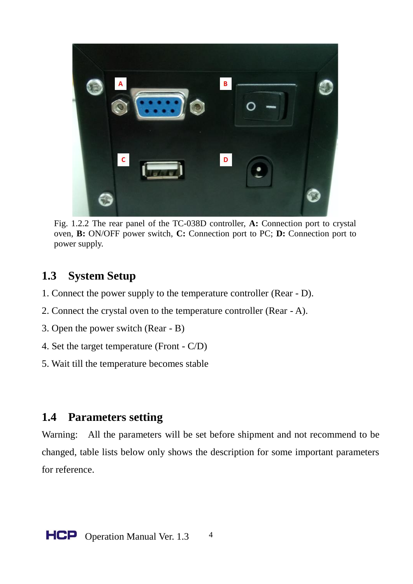

Fig. 1.2.2 The rear panel of the TC-038D controller, **A:** Connection port to crystal oven, **B:** ON/OFF power switch, **C:** Connection port to PC; **D:** Connection port to power supply.

#### **1.3 System Setup**

- 1. Connect the power supply to the temperature controller (Rear D).
- 2. Connect the crystal oven to the temperature controller (Rear A).
- 3. Open the power switch (Rear B)
- 4. Set the target temperature (Front C/D)
- 5. Wait till the temperature becomes stable

#### **1.4 Parameters setting**

Warning: All the parameters will be set before shipment and not recommend to be changed, table lists below only shows the description for some important parameters for reference.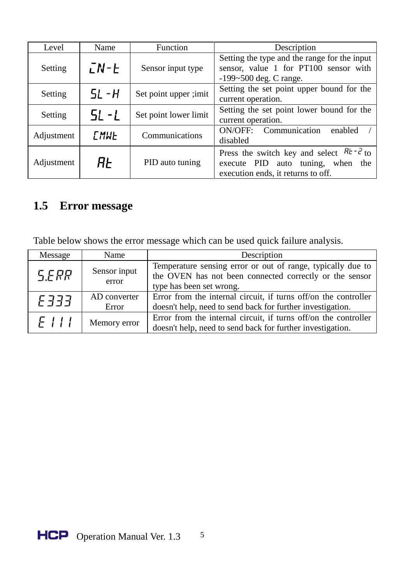| Level                                                            | Name               | Function                                  | Description                                                                                                                             |  |
|------------------------------------------------------------------|--------------------|-------------------------------------------|-----------------------------------------------------------------------------------------------------------------------------------------|--|
| Setting                                                          | $LN - E$           | Sensor input type                         | Setting the type and the range for the input<br>sensor, value 1 for PT100 sensor with<br>$-199 - 500$ deg. C range.                     |  |
| 5L - H<br>Set point upper ;imit<br>Setting<br>current operation. |                    | Setting the set point upper bound for the |                                                                                                                                         |  |
| Setting                                                          | $5! -1$            | Set point lower limit                     | Setting the set point lower bound for the<br>current operation.                                                                         |  |
| Adjustment                                                       | <b><i>EMWE</i></b> | Communications                            | Communication<br>ON/OFF:<br>enabled<br>disabled                                                                                         |  |
| Adjustment                                                       | ЯF                 | PID auto tuning                           | $Rt - c$ <sub>to</sub><br>Press the switch key and select<br>execute PID auto tuning, when<br>the<br>execution ends, it returns to off. |  |

## **1.5 Error message**

Table below shows the error message which can be used quick failure analysis.

| Message     | Name                  | Description                                                                                                                                        |  |
|-------------|-----------------------|----------------------------------------------------------------------------------------------------------------------------------------------------|--|
| <b>SERR</b> | Sensor input<br>error | Temperature sensing error or out of range, typically due to<br>the OVEN has not been connected correctly or the sensor<br>type has been set wrong. |  |
| F 333       | AD converter<br>Error | Error from the internal circuit, if turns off/on the controller<br>doesn't help, need to send back for further investigation.                      |  |
| FIII        | Memory error          | Error from the internal circuit, if turns off/on the controller<br>doesn't help, need to send back for further investigation.                      |  |

Operation Manual Ver. 1.3 5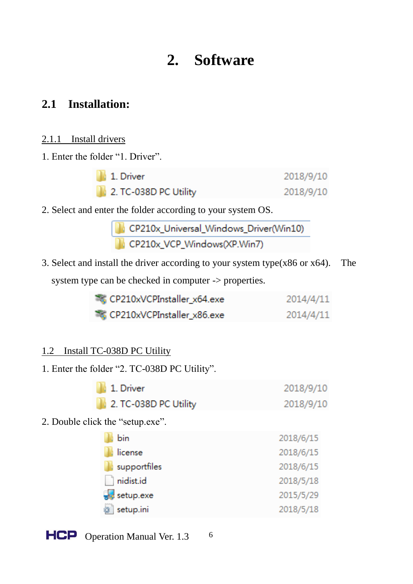## **2. Software**

### **2.1 Installation:**

#### 2.1.1 Install drivers

1. Enter the folder "1. Driver".

| 1. Driver             | 2018/9/10 |
|-----------------------|-----------|
| 2. TC-038D PC Utility | 2018/9/10 |

2. Select and enter the folder according to your system OS.

| CP210x_Universal_Windows_Driver(Win10) |
|----------------------------------------|
| CP210x_VCP_Windows(XP.Win7)            |

3. Select and install the driver according to your system type(x86 or x64). The system type can be checked in computer -> properties.

| CP210xVCPInstaller x64.exe | 2014/4/11 |
|----------------------------|-----------|
| CP210xVCPInstaller_x86.exe | 2014/4/11 |

#### 1.2 Install TC-038D PC Utility

1. Enter the folder "2. TC-038D PC Utility".

| 1. Driver             | 2018/9/10 |
|-----------------------|-----------|
| 2. TC-038D PC Utility | 2018/9/10 |

2. Double click the "setup.exe".

| bin                            | 2018/6/15 |
|--------------------------------|-----------|
| license                        | 2018/6/15 |
| supportfiles                   | 2018/6/15 |
| nidist.id                      | 2018/5/18 |
| $\sqrt{\frac{1}{2}}$ setup.exe | 2015/5/29 |
| setup.ini                      | 2018/5/18 |

6

**HCP** Operation Manual Ver. 1.3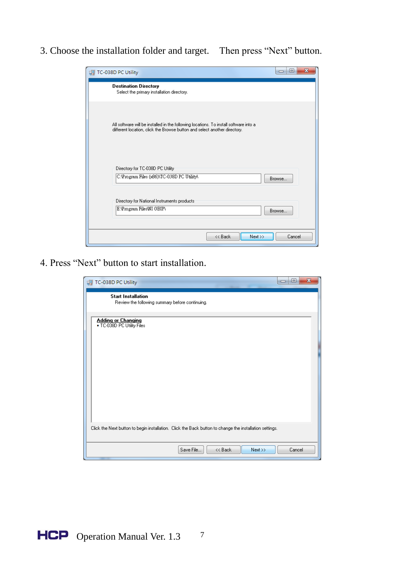3. Choose the installation folder and target. Then press "Next" button.

| TC-038D PC Utility                                                                                                                                                 | 回<br>$\blacksquare$ |
|--------------------------------------------------------------------------------------------------------------------------------------------------------------------|---------------------|
| <b>Destination Directory</b><br>Select the primary installation directory.                                                                                         |                     |
| All software will be installed in the following locations. To install software into a<br>different location, click the Browse button and select another directory. |                     |
| Directory for TC-038D PC Utility<br>C:\Program Files (x86)\TC-038D PC Utility\                                                                                     | Browse              |
| Directory for National Instruments products<br>E:\Program Files\NI GBIP\                                                                                           | <b>Browse</b>       |
|                                                                                                                                                                    |                     |

4. Press "Next" button to start installation.

| TC-038D PC Utility                                                                                      | x<br>$\Box$<br>$\Box$ |
|---------------------------------------------------------------------------------------------------------|-----------------------|
| <b>Start Installation</b><br>Review the following summary before continuing.                            |                       |
| Adding or Changing<br>• TC-038D PC Utility Files                                                        |                       |
| Click the Next button to begin installation. Click the Back button to change the installation settings. |                       |
| Save File<br><< Back<br>$Next \rightarrow$                                                              | Cancel                |

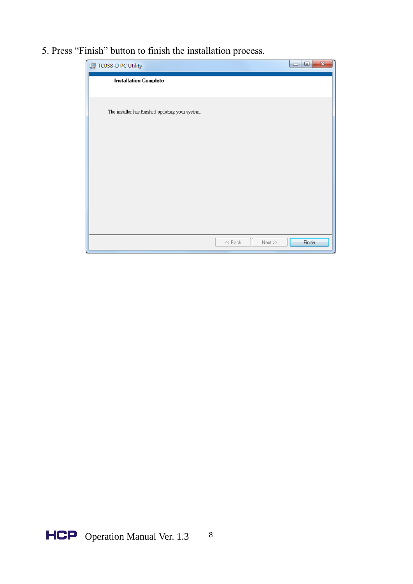5. Press "Finish" button to finish the installation process.



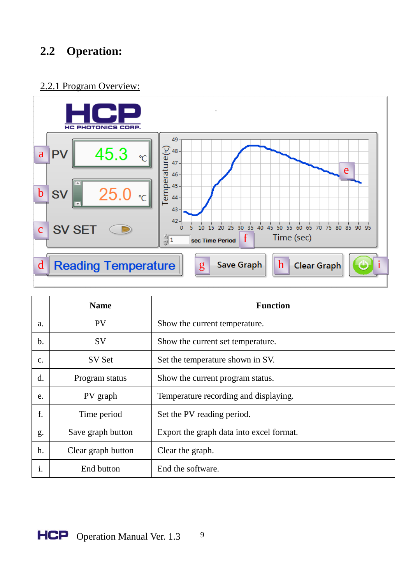## **2.2 Operation:**

#### 2.2.1 Program Overview:



|    | <b>Name</b>        | <b>Function</b>                          |
|----|--------------------|------------------------------------------|
| a. | <b>PV</b>          | Show the current temperature.            |
| b. | SV                 | Show the current set temperature.        |
| c. | SV Set             | Set the temperature shown in SV.         |
| d. | Program status     | Show the current program status.         |
| e. | PV graph           | Temperature recording and displaying.    |
| f. | Time period        | Set the PV reading period.               |
| g. | Save graph button  | Export the graph data into excel format. |
| h. | Clear graph button | Clear the graph.                         |
| i. | End button         | End the software.                        |

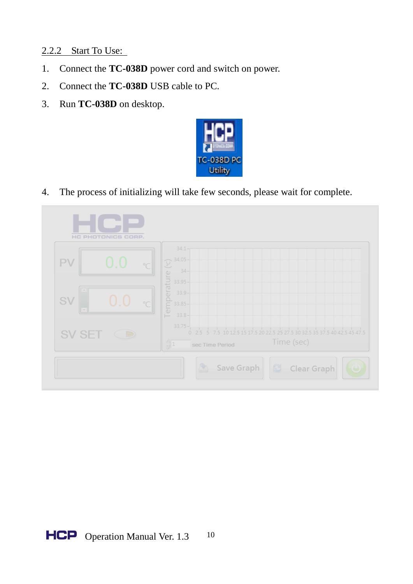#### 2.2.2 Start To Use:

- 1. Connect the **TC-038D** power cord and switch on power.
- 2. Connect the **TC-038D** USB cable to PC.
- 3. Run **TC-038D** on desktop.



4. The process of initializing will take few seconds, please wait for complete.

| HC PHOTONICS CORP.           |                                                                                                                                                                                                                                                                                                                                                      |
|------------------------------|------------------------------------------------------------------------------------------------------------------------------------------------------------------------------------------------------------------------------------------------------------------------------------------------------------------------------------------------------|
| 0.0<br>PV<br>$\circ$ $\circ$ | $34.1 -$                                                                                                                                                                                                                                                                                                                                             |
| SV<br>$()$ (<br>$\degree$ C  | $\frac{1}{2}$<br>$\frac{1}{2}$<br>$\frac{1}{2}$<br>$\frac{1}{3}$<br>$\frac{1}{3}$<br>$\frac{3}{3}$<br>$\frac{1}{3}$<br>$\frac{1}{3}$<br>$\frac{1}{3}$<br>$\frac{1}{3}$<br>$\frac{1}{3}$<br>$\frac{1}{3}$<br>$\frac{1}{3}$<br>$\frac{1}{3}$<br>$\frac{1}{3}$<br>$\frac{1}{3}$<br>$\frac{1}{3}$<br>$\frac{1}{3}$<br>$\frac{1}{3}$<br>$\frac{1}{3}$<br> |
| SV SET                       | $33.75 -$<br>10 12.5 15 17.5 20 22.5 25 27.5 30 32.5 35 37.5 40 42.5 45 47.5<br>0.2.5<br>Time (sec)<br>$\frac{\triangle}{\mathcal{Y}}$ 1<br>sec Time Period                                                                                                                                                                                          |
|                              | A<br>Save Graph<br>Clear Graph<br>$\circ$                                                                                                                                                                                                                                                                                                            |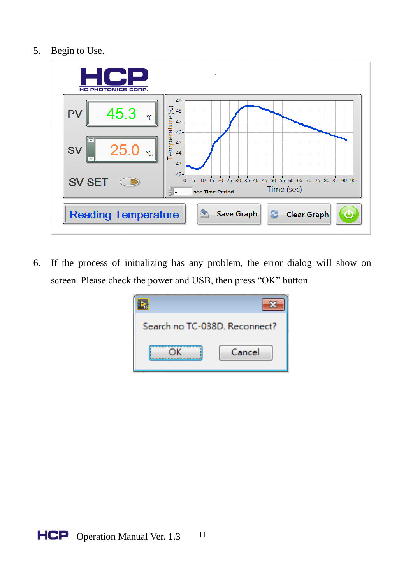5. Begin to Use.



6. If the process of initializing has any problem, the error dialog will show on screen. Please check the power and USB, then press "OK" button.

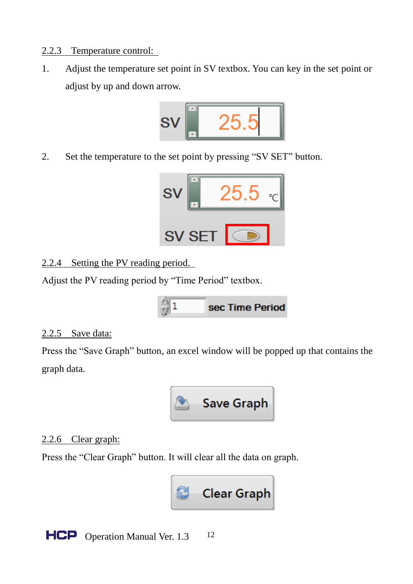#### 2.2.3 Temperature control:

1. Adjust the temperature set point in SV textbox. You can key in the set point or adjust by up and down arrow.



2. Set the temperature to the set point by pressing "SV SET" button.



#### 2.2.4 Setting the PV reading period.

Adjust the PV reading period by "Time Period" textbox.

#### 2.2.5 Save data:

Press the "Save Graph" button, an excel window will be popped up that contains the graph data.



#### 2.2.6 Clear graph:

Press the "Clear Graph" button. It will clear all the data on graph.



**HCP** Operation Manual Ver. 1.3 12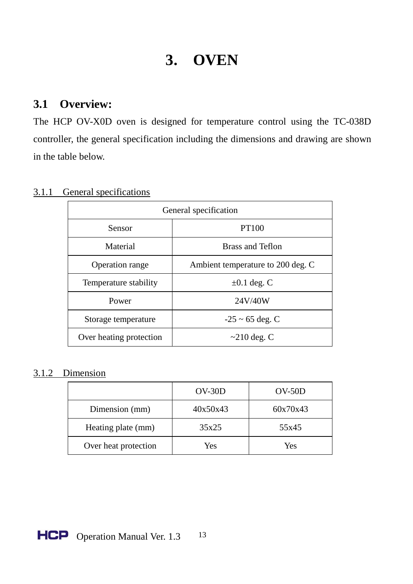## **3. OVEN**

#### **3.1 Overview:**

The HCP OV-X0D oven is designed for temperature control using the TC-038D controller, the general specification including the dimensions and drawing are shown in the table below.

| General specification   |                                   |  |
|-------------------------|-----------------------------------|--|
| Sensor                  | PT100                             |  |
| Material                | Brass and Teflon                  |  |
| Operation range         | Ambient temperature to 200 deg. C |  |
| Temperature stability   | $\pm 0.1$ deg. C                  |  |
| Power                   | 24V/40W                           |  |
| Storage temperature     | $-25 \sim 65$ deg. C              |  |
| Over heating protection | $\sim$ 210 deg. C                 |  |

#### 3.1.1 General specifications

#### 3.1.2 Dimension

|                      | $OV-30D$ | $OV-50D$ |  |
|----------------------|----------|----------|--|
| Dimension (mm)       | 40x50x43 | 60x70x43 |  |
| Heating plate (mm)   | 35x25    | 55x45    |  |
| Over heat protection | Yes      | Yes      |  |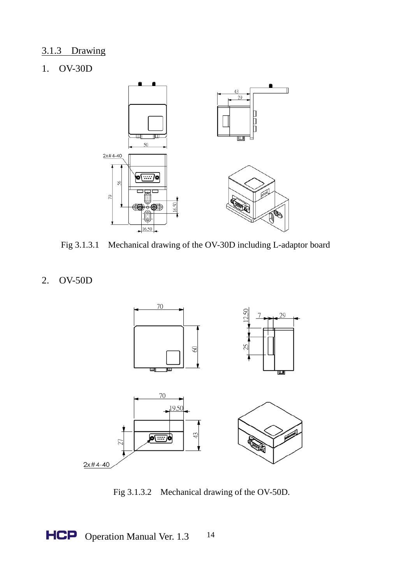#### 3.1.3 Drawing

#### 1. OV-30D



Fig 3.1.3.1 Mechanical drawing of the OV-30D including L-adaptor board

#### 2. OV-50D



Fig 3.1.3.2 Mechanical drawing of the OV-50D.

HCP Operation Manual Ver. 1.3 14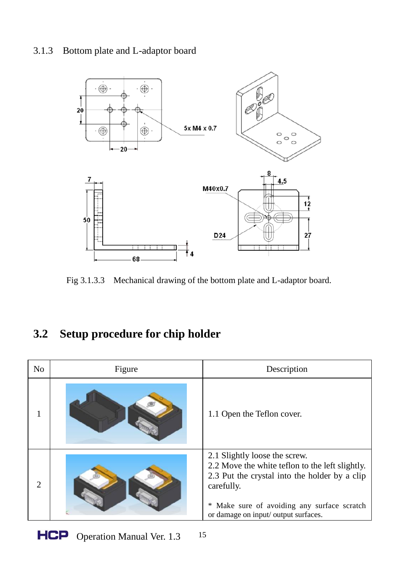#### 3.1.3 Bottom plate and L-adaptor board



Fig 3.1.3.3 Mechanical drawing of the bottom plate and L-adaptor board.

## **3.2 Setup procedure for chip holder**

| N <sub>0</sub>              | Figure | Description                                                                                                                                                                                                                               |
|-----------------------------|--------|-------------------------------------------------------------------------------------------------------------------------------------------------------------------------------------------------------------------------------------------|
|                             |        | 1.1 Open the Teflon cover.                                                                                                                                                                                                                |
| $\mathcal{D}_{\mathcal{L}}$ |        | 2.1 Slightly loose the screw.<br>2.2 Move the white teflon to the left slightly.<br>2.3 Put the crystal into the holder by a clip<br>carefully.<br>Make sure of avoiding any surface scratch<br>*<br>or damage on input/ output surfaces. |

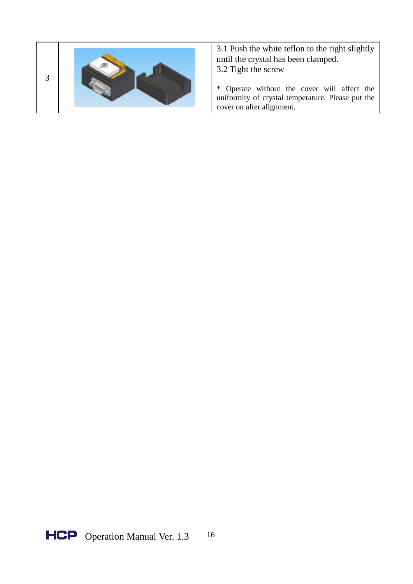

3.1 Push the white teflon to the right slightly until the crystal has been clamped. 3.2 Tight the screw

\* Operate without the cover will affect the uniformity of crystal temperature. Please put the cover on after alignment.

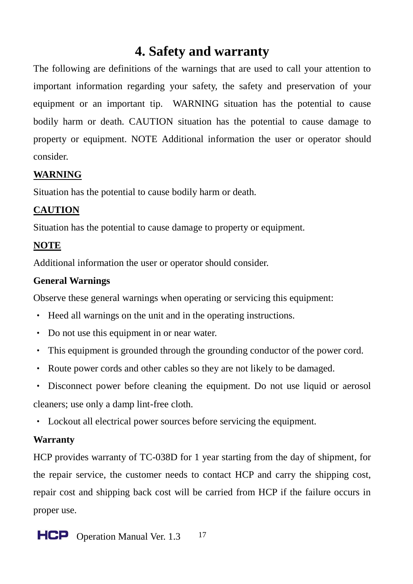## **4. Safety and warranty**

The following are definitions of the warnings that are used to call your attention to important information regarding your safety, the safety and preservation of your equipment or an important tip. WARNING situation has the potential to cause bodily harm or death. CAUTION situation has the potential to cause damage to property or equipment. NOTE Additional information the user or operator should consider.

#### **WARNING**

Situation has the potential to cause bodily harm or death.

#### **CAUTION**

Situation has the potential to cause damage to property or equipment.

#### **NOTE**

Additional information the user or operator should consider.

#### **General Warnings**

Observe these general warnings when operating or servicing this equipment:

- Heed all warnings on the unit and in the operating instructions.
- Do not use this equipment in or near water.
- This equipment is grounded through the grounding conductor of the power cord.
- Route power cords and other cables so they are not likely to be damaged.
- Disconnect power before cleaning the equipment. Do not use liquid or aerosol

cleaners; use only a damp lint-free cloth.

• Lockout all electrical power sources before servicing the equipment.

#### **Warranty**

HCP provides warranty of TC-038D for 1 year starting from the day of shipment, for the repair service, the customer needs to contact HCP and carry the shipping cost, repair cost and shipping back cost will be carried from HCP if the failure occurs in proper use.